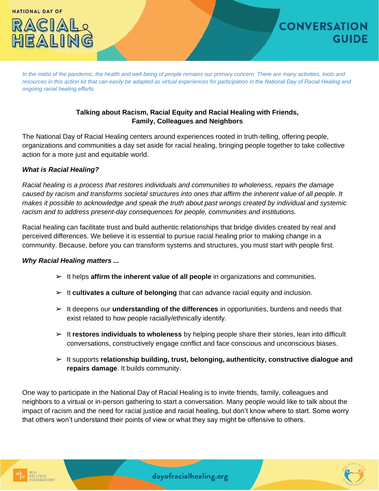

*In the midst of the pandemic, the health and well-being of people remains our primary concern. There are many activities, tools and resources in this action kit that can easily be adapted as virtual experiences for participation in the National Day of Racial Healing and ongoing racial healing efforts.*

# **Talking about Racism, Racial Equity and Racial Healing with Friends, Family, Colleagues and Neighbors**

The National Day of Racial Healing centers around experiences rooted in truth-telling, offering people, organizations and communities a day set aside for racial healing, bringing people together to take collective action for a more just and equitable world.

## *What is Racial Healing?*

*Racial healing is a process that restores individuals and communities to wholeness, repairs the damage caused by racism and transforms societal structures into ones that affirm the inherent value of all people. It makes it possible to acknowledge and speak the truth about past wrongs created by individual and systemic racism and to address present-day consequences for people, communities and institutions.* 

Racial healing can facilitate trust and build authentic relationships that bridge divides created by real and perceived differences. We believe it is essential to pursue racial healing prior to making change in a community. Because, before you can transform systems and structures, you must start with people first.

#### *Why Racial Healing matters ...*

- ➢ It helps **affirm the inherent value of all people** in organizations and communities.
- ➢ It **cultivates a culture of belonging** that can advance racial equity and inclusion.
- ➢ It deepens our **understanding of the differences** in opportunities, burdens and needs that exist related to how people racially/ethnically identify.
- ➢ It **restores individuals to wholeness** by helping people share their stories, lean into difficult conversations, constructively engage conflict and face conscious and unconscious biases.
- ➢ It supports **relationship building, trust, belonging, authenticity, constructive dialogue and repairs damage**. It builds community.

One way to participate in the National Day of Racial Healing is to invite friends, family, colleagues and neighbors to a virtual or in-person gathering to start a conversation. Many people would like to talk about the impact of racism and the need for racial justice and racial healing, but don't know where to start. Some worry that others won't understand their points of view or what they say might be offensive to others.

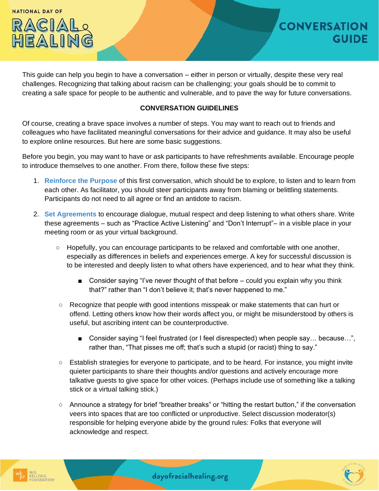**NATIONAL DAY OF** 



This guide can help you begin to have a conversation – either in person or virtually, despite these very real challenges. Recognizing that talking about racism can be challenging; your goals should be to commit to creating a safe space for people to be authentic and vulnerable, and to pave the way for future conversations.

### **CONVERSATION GUIDELINES**

Of course, creating a brave space involves a number of steps. You may want to reach out to friends and colleagues who have facilitated meaningful conversations for their advice and guidance. It may also be useful to explore online resources. But here are some basic suggestions.

Before you begin, you may want to have or ask participants to have refreshments available. Encourage people to introduce themselves to one another. From there, follow these five steps:

- 1. **Reinforce the Purpose** of this first conversation, which should be to explore, to listen and to learn from each other. As facilitator, you should steer participants away from blaming or belittling statements. Participants do not need to all agree or find an antidote to racism.
- 2. **Set Agreements** to encourage dialogue, mutual respect and deep listening to what others share. Write these agreements – such as "Practice Active Listening" and "Don't Interrupt"– in a visible place in your meeting room or as your virtual background.
	- Hopefully, you can encourage participants to be relaxed and comfortable with one another, especially as differences in beliefs and experiences emerge. A key for successful discussion is to be interested and deeply listen to what others have experienced, and to hear what they think.
		- Consider saying "I've never thought of that before  $-$  could you explain why you think that?" rather than "I don't believe it; that's never happened to me."
	- Recognize that people with good intentions misspeak or make statements that can hurt or offend. Letting others know how their words affect you, or might be misunderstood by others is useful, but ascribing intent can be counterproductive.
		- Consider saying "I feel frustrated (or I feel disrespected) when people say... because...", rather than, "That pisses me off; that's such a stupid (or racist) thing to say."
	- Establish strategies for everyone to participate, and to be heard. For instance, you might invite quieter participants to share their thoughts and/or questions and actively encourage more talkative guests to give space for other voices. (Perhaps include use of something like a talking stick or a virtual talking stick.)
	- Announce a strategy for brief "breather breaks" or "hitting the restart button," if the conversation veers into spaces that are too conflicted or unproductive. Select discussion moderator(s) responsible for helping everyone abide by the ground rules: Folks that everyone will acknowledge and respect.

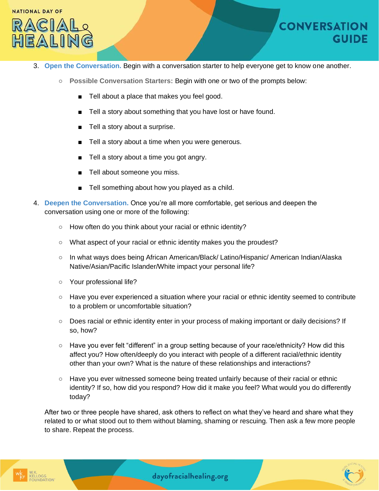

- 3. **Open the Conversation.** Begin with a conversation starter to help everyone get to know one another.
	- **Possible Conversation Starters:** Begin with one or two of the prompts below:
		- Tell about a place that makes you feel good.
		- Tell a story about something that you have lost or have found.
		- Tell a story about a surprise.
		- Tell a story about a time when you were generous.
		- Tell a story about a time you got angry.
		- Tell about someone you miss.
		- Tell something about how you played as a child.
- 4. **Deepen the Conversation.** Once you're all more comfortable, get serious and deepen the conversation using one or more of the following:
	- How often do you think about your racial or ethnic identity?
	- What aspect of your racial or ethnic identity makes you the proudest?
	- In what ways does being African American/Black/ Latino/Hispanic/ American Indian/Alaska Native/Asian/Pacific Islander/White impact your personal life?
	- Your professional life?
	- Have you ever experienced a situation where your racial or ethnic identity seemed to contribute to a problem or uncomfortable situation?
	- Does racial or ethnic identity enter in your process of making important or daily decisions? If so, how?
	- Have you ever felt "different" in a group setting because of your race/ethnicity? How did this affect you? How often/deeply do you interact with people of a different racial/ethnic identity other than your own? What is the nature of these relationships and interactions?
	- Have you ever witnessed someone being treated unfairly because of their racial or ethnic identity? If so, how did you respond? How did it make you feel? What would you do differently today?

After two or three people have shared, ask others to reflect on what they've heard and share what they related to or what stood out to them without blaming, shaming or rescuing. Then ask a few more people to share. Repeat the process.



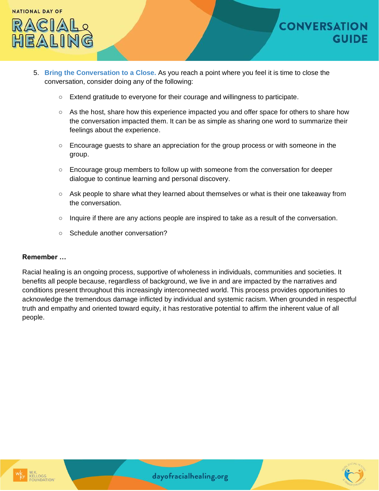

- 5. **Bring the Conversation to a Close.** As you reach a point where you feel it is time to close the conversation, consider doing any of the following:
	- Extend gratitude to everyone for their courage and willingness to participate.
	- As the host, share how this experience impacted you and offer space for others to share how the conversation impacted them. It can be as simple as sharing one word to summarize their feelings about the experience.
	- Encourage guests to share an appreciation for the group process or with someone in the group.
	- Encourage group members to follow up with someone from the conversation for deeper dialogue to continue learning and personal discovery.
	- Ask people to share what they learned about themselves or what is their one takeaway from the conversation.
	- Inquire if there are any actions people are inspired to take as a result of the conversation.
	- Schedule another conversation?

#### **Remember …**

Racial healing is an ongoing process, supportive of wholeness in individuals, communities and societies. It benefits all people because, regardless of background, we live in and are impacted by the narratives and conditions present throughout this increasingly interconnected world. This process provides opportunities to acknowledge the tremendous damage inflicted by individual and systemic racism. When grounded in respectful truth and empathy and oriented toward equity, it has restorative potential to affirm the inherent value of all people.